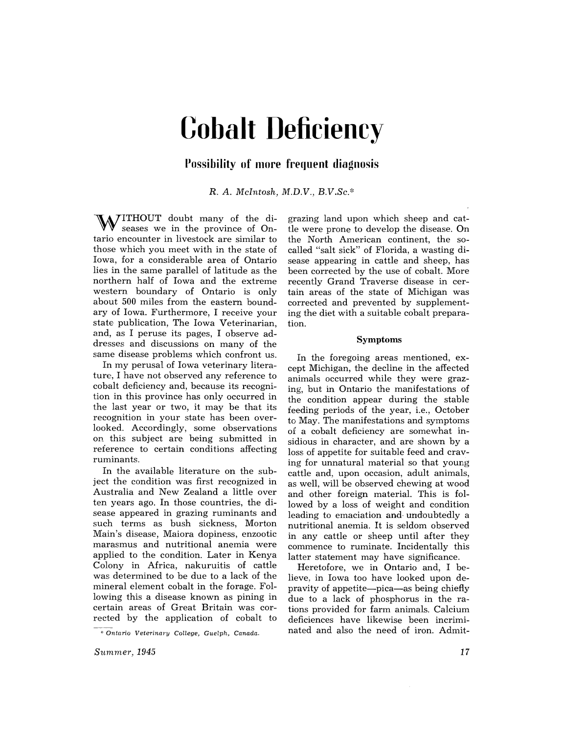# **Cobalt Deficiency**

## **Possibility of more frequent diagnosis**

R. *A. McIntosh, M.D.V., B.V.Sc.\** 

WITHOUT doubt many of the diseases we in the province of Ontario encounter in livestock are similar to those which you meet with in the state of Iowa, for a considerable area of Ontario lies in the same parallel of latitude as the northern half of Iowa and the extreme western boundary of Ontario is only about 500 miles from the eastern boundary of Iowa. Furthermore, I receive your state publication, The Iowa Veterinarian, and, as I peruse its pages, I observe addresses and discussions on many of the same disease problems which confront us.

In my perusal of Iowa veterinary literature, I have not observed any reference to cobalt deficiency and, because its recognition in this province has only occurred in the last year or two, it may be that its recognition in your state has been overlooked. Accordingly, some observations on this subject are being submitted in reference to certain conditions affecting ruminants.

In the available literature on the subject the condition was first recognized in Australia and New Zealand a little over ten years ago. In those countries, the disease appeared in grazing ruminants and such terms as bush sickness, Morton Main's disease, Maiora dopiness, enzootic marasmus and nutritional anemia were applied to the condition. Later in Kenya Colony in Africa, nakuruitis of cattle was determined to be due to a lack of the mineral element cobalt in the forage. Following this a disease known as pining in certain areas of Great Britain was corrected by the application of cobalt to

grazing land upon which sheep and cattle were prone to develop the disease. On the North American continent, the socalled "salt sick" of Florida, a wasting disease appearing in cattle and sheep, has been corrected by the use of cobalt. More recently Grand Traverse disease in certain areas of the state of Michigan was corrected and prevented by supplementing the diet with a suitable cobalt preparation.

#### Symptoms

In the foregoing areas mentioned, except Michigan, the decline in the affected animals occurred while they were grazing, but in Ontario the manifestations of the condition appear during the stable reeding periods of the year, i.e., October to May. The manifestations and symptoms of a cobalt deficiency are somewhat insidious in character, and are shown by a loss of appetite for suitable feed and craving for unnatural material so that young cattle and, upon occasion, adult animals, as well, will be observed chewing at wood and other foreign material. This is followed by a loss of weight and condition leading to emaciation and undoubtedly a nutritional anemia. It is seldom observed in any cattle or sheep until after they commence to ruminate. Incidentally this latter statement may have significance.

Heretofore, we in Ontario and, I believe. in Iowa too have looked upon depravity of appetite—pica—as being chiefly due to a lack of phosphorus in the rations provided for farm animals. Calcium deficiences have likewise been incriminated and also the need of iron. Admit-

<sup>\*</sup> Ontario Veterinary College, Guelph, Canada.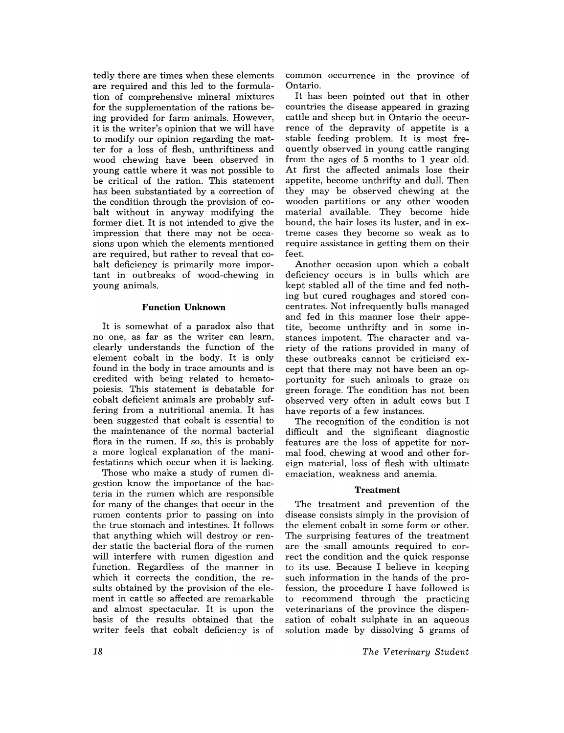tedly there are times when these elements are required and this led to the formulation of comprehensive mineral mixtures for the supplementation of the rations being provided for farm animals. However, it is the writer's opinion that we will have to modify our opinion regarding the matter for a loss of flesh, unthriftiness and wood chewing have been observed in young cattle where it was not possible to be critical of the ration. This statement has been substantiated by a correction of the condition through the provision of cobalt without in anyway modifying the former diet. It is not intended to give the impression that there may not be occasions upon which the elements mentioned are required, but rather to reveal that cobalt deficiency is primarily more important in outbreaks of wood-chewing in young animals.

### **Function Unknown**

It is somewhat of a paradox also that no one, as far as the writer can learn, clearly understands the function of the element cobalt in the body. It is only found in the body in trace amounts and is credited with being related to hematopoiesis. This statement is debatable for cobalt deficient animals are probably suffering from a nutritional anemia. It has been suggested that cobalt is essential to the maintenance of the normal bacterial flora in the rumen. If so, this is probably a more logical explanation of the manifestations which occur when it is lacking.

Those who make a study of rumen digestion know the importance of the bacteria in the rumen which are responsible for many of the changes that occur in the rumen contents prior to passing on into the true stomach and intestines. It follows that anything which will destroy or render static the bacterial flora of the rumen will interfere with rumen digestion and function. Regardless of the manner in which it corrects the condition, the results obtained by the provision of the element in cattle so affected are remarkable and. almost spectacular. It is upon the basis of the results obtained that the writer feels that cobalt deficiency is of common occurrence in the province of Ontario.

It has been pointed out that in other countries the disease appeared in grazing cattle and sheep but in Ontario the occurrence of the depravity of appetite is a stable feeding problem. It is most frequently observed in young cattle ranging from the ages of 5 months to 1 year old. At first the affected animals lose their appetite, become unthrifty and dull. Then they may be observed chewing at the wooden partitions or any other wooden material available. They become hide bound, the hair loses its luster, and in extreme cases they become so weak as to require assistance in getting them on their feet.

Another occasion upon which a cobalt deficiency occurs is in bulls which are kept stabled all of the time and fed nothing but cured roughages and stored concentrates. Not infrequently bulls managed and fed in this manner lose their appetite, become unthrifty and in some instances impotent. The character and variety of the rations provided in many of these outbreaks cannot be criticised except that there may not have been an opportunity for such animals to graze on green forage. The condition has not been observed very often in adult cows but I have reports of a few instances.

The recognition of the condition is not difficult and the significant diagnostic features are the loss of appetite for normal. food, chewing at wood and other foreign material, loss of flesh with ultimate emaciation, weakness and anemia.

### **Treatment**

The treatment and prevention of the disease consists simply in the provision of the element cobalt in some form or other. The surprising features of the treatment are the small amounts required to correct the condition and the quick response to its use. Because I believe in keeping such information in the hands of the profession, the procedure I have followed is to recommend through the practicing veterinarians of the province the dispensation of cobalt sulphate in an aqueous solution made by dissolving 5 grams of